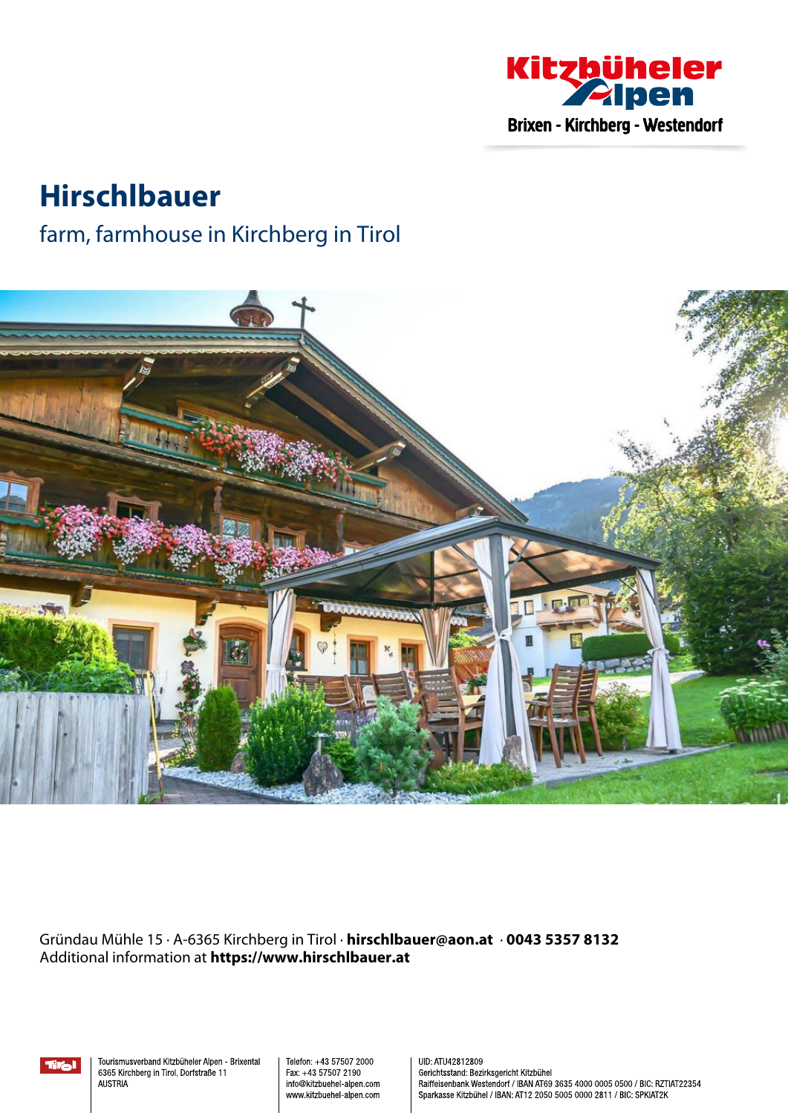

# **Hirschlbauer**

### farm, farmhouse in Kirchberg in Tirol



Gründau Mühle 15 · A-6365 Kirchberg in Tirol · **hirschlbauer@aon.at** · **0043 5357 8132** Additional information at **https://www.hirschlbauer.at**



Tourismusverband Kitzbüheler Alpen - Brixental 6365 Kirchberg in Tirol, Dorfstraße 11 **AUSTRIA** 

Telefon: +43 57507 2000 Fax: +43 57507 2190 info@kitzbuehel-alpen.com www.kitzbuehel-alpen.com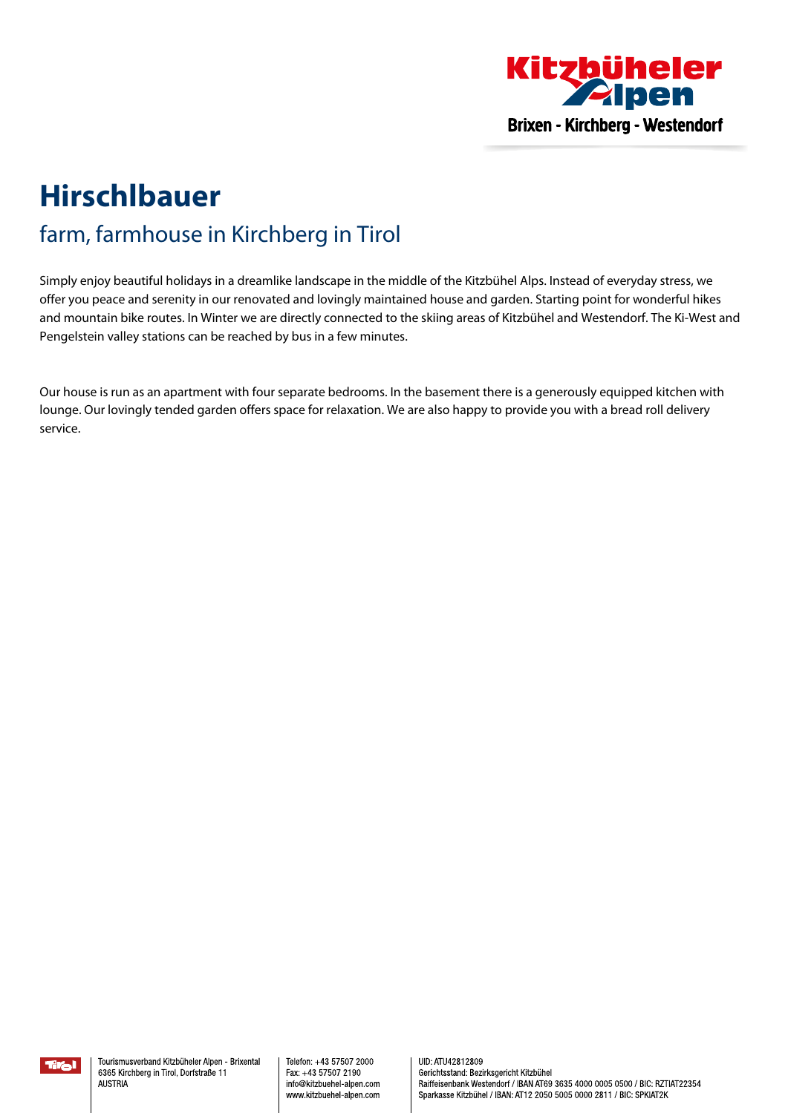

## **Hirschlbauer** farm, farmhouse in Kirchberg in Tirol

Simply enjoy beautiful holidays in <sup>a</sup> dreamlike landscape in the middle of the Kitzbühel Alps. Instead of everyday stress, we offer you peace and serenity in our renovated and lovingly maintained house and garden. Starting point for wonderful hikes and mountain bike routes. In Winter we are directly connected to the skiing areas of Kitzbühel and Westendorf. The Ki-West and Pengelstein valley stations can be reached by bus in <sup>a</sup> few minutes.

Our house is run as an apartment with four separate bedrooms. In the basement there is <sup>a</sup> generously equipped kitchen with lounge. Our lovingly tended garden offers space for relaxation. We are also happy to provide you with <sup>a</sup> bread roll delivery service.

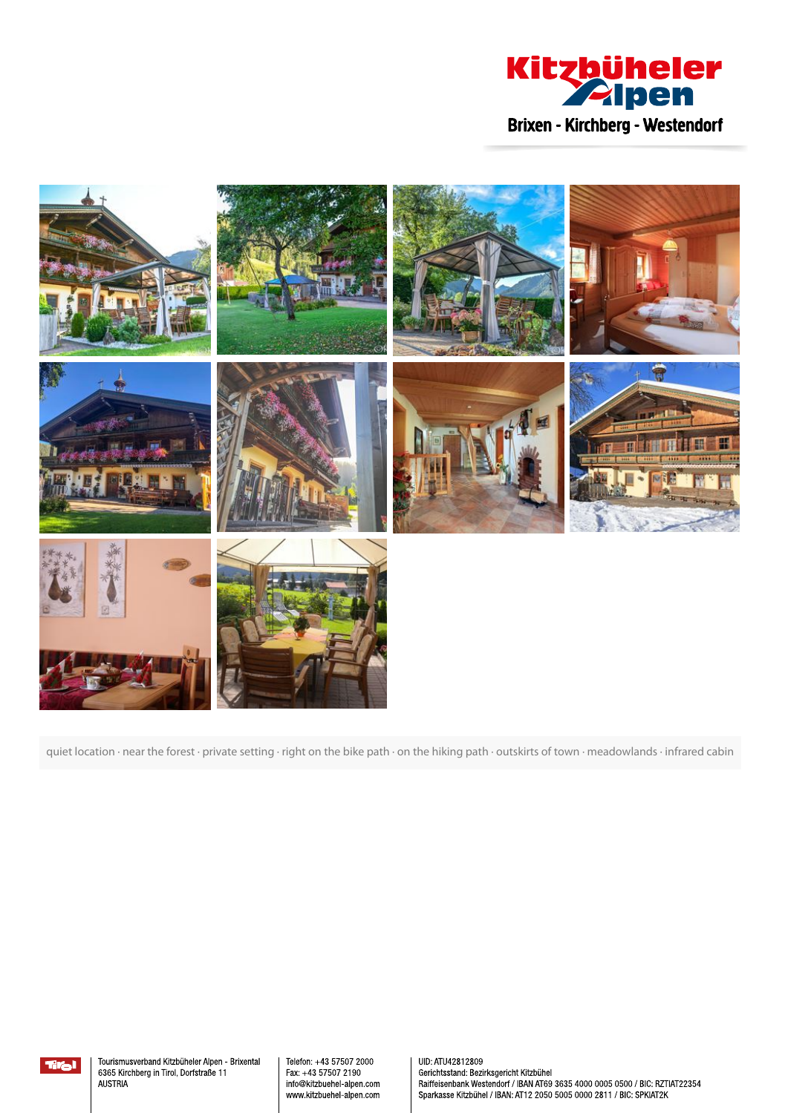



quiet location · near the forest · private setting · right on the bike path · on the hiking path · outskirts of town · meadowlands · infrared cabin



Tourismusverband Kitzbüheler Alpen - Brixental 6365 Kirchberg in Tirol, Dorfstraße 11 **AUSTRIA** 

Telefon: +43 57507 2000 Fax: +43 57507 2190 info@kitzbuehel-alpen.com www.kitzbuehel-alpen.com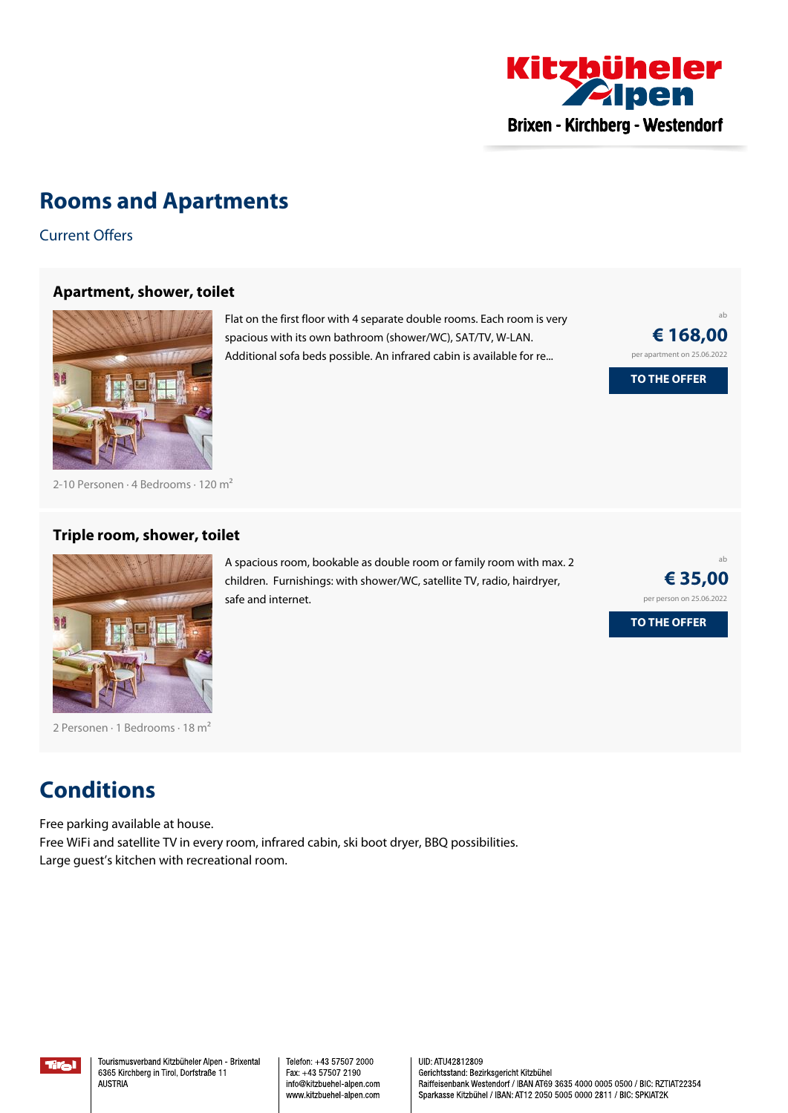

### **Rooms and Apartments**

Current Offers

#### **[Apartment,](https://www.kitzbueheler-alpen.com/en/bri/accommodation/booking/hirschlbauer.html?utm_medium=PDF&utm_campaign=Vermieter-Prospekt&utm_source=Hirschlbauer) shower, toilet**



Flat on the first floor with <sup>4</sup> separate double rooms. Each room is very spacious with its own bathroom (shower/WC), SAT/TV, W-LAN. Additional sofa beds possible. An infrared cabin is available for re...

A spacious room, bookable as double room or family room with max. 2 children. Furnishings: with shower/WC, satellite TV, radio, hairdryer,

ab **€ 168,00** per apartment on 25.06.2022 **TO THE OFFER**

ab

**€ [35,00](https://www.kitzbueheler-alpen.com/en/bri/accommodation/booking/hirschlbauer.html?utm_medium=PDF&utm_campaign=Vermieter-Prospekt&utm_source=Hirschlbauer)** per person on 25.06.2022

**TO THE OFFER**

2-10 Personen · 4 Bedrooms · 120 <sup>m</sup><sup>²</sup>

#### **Triple room, shower, toilet**



2 Personen · 1 Bedrooms · 18 m<sup>2</sup>

### **Conditions**

Free parking available at house. Free WiFi and satellite TV in every room, infrared cabin, ski boot dryer, BBQ possibilities. Large guest's kitchen with recreational room.

safe and internet.

Tral

Tourismusverband Kitzbüheler Alpen - Brixental 6365 Kirchberg in Tirol, Dorfstraße 11 **AUSTRIA** 

Telefon: +43 57507 2000 Fax: +43 57507 2190 info@kitzbuehel-alpen.com www.kitzbuehel-alpen.com